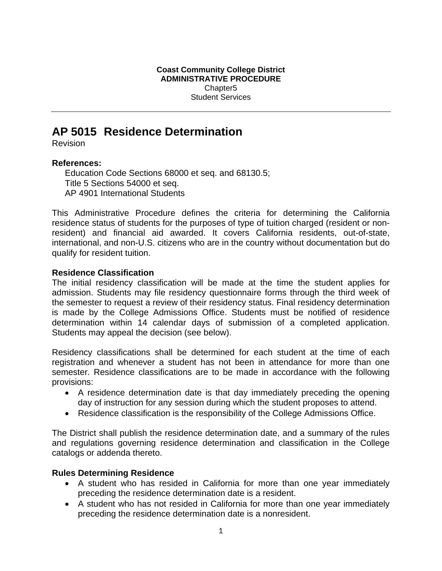**Coast Community College District ADMINISTRATIVE PROCEDURE**  Chapter5 Student Services

# **AP 5015 Residence Determination**

Revision

#### **References:**

Education Code Sections 68000 et seq. and 68130.5; Title 5 Sections 54000 et seq. AP 4901 International Students

This Administrative Procedure defines the criteria for determining the California residence status of students for the purposes of type of tuition charged (resident or nonresident) and financial aid awarded. It covers California residents, out-of-state, international, and non-U.S. citizens who are in the country without documentation but do qualify for resident tuition.

### **Residence Classification**

The initial residency classification will be made at the time the student applies for admission. Students may file residency questionnaire forms through the third week of the semester to request a review of their residency status. Final residency determination is made by the College Admissions Office. Students must be notified of residence determination within 14 calendar days of submission of a completed application. Students may appeal the decision (see below).

Residency classifications shall be determined for each student at the time of each registration and whenever a student has not been in attendance for more than one semester. Residence classifications are to be made in accordance with the following provisions:

- A residence determination date is that day immediately preceding the opening day of instruction for any session during which the student proposes to attend.
- Residence classification is the responsibility of the College Admissions Office.

The District shall publish the residence determination date, and a summary of the rules and regulations governing residence determination and classification in the College catalogs or addenda thereto.

## **Rules Determining Residence**

- A student who has resided in California for more than one year immediately preceding the residence determination date is a resident.
- A student who has not resided in California for more than one year immediately preceding the residence determination date is a nonresident.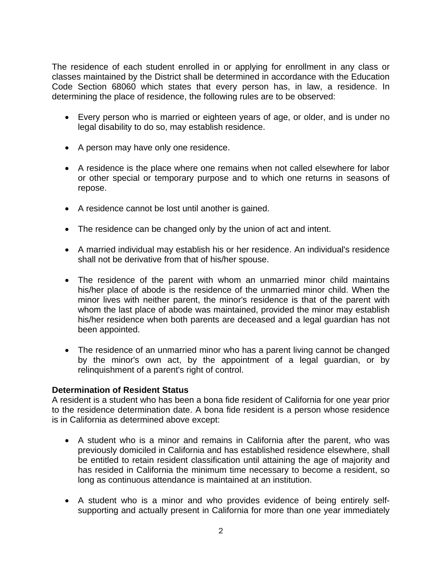The residence of each student enrolled in or applying for enrollment in any class or classes maintained by the District shall be determined in accordance with the Education Code Section 68060 which states that every person has, in law, a residence. In determining the place of residence, the following rules are to be observed:

- Every person who is married or eighteen years of age, or older, and is under no legal disability to do so, may establish residence.
- A person may have only one residence.
- A residence is the place where one remains when not called elsewhere for labor or other special or temporary purpose and to which one returns in seasons of repose.
- A residence cannot be lost until another is gained.
- The residence can be changed only by the union of act and intent.
- A married individual may establish his or her residence. An individual's residence shall not be derivative from that of his/her spouse.
- The residence of the parent with whom an unmarried minor child maintains his/her place of abode is the residence of the unmarried minor child. When the minor lives with neither parent, the minor's residence is that of the parent with whom the last place of abode was maintained, provided the minor may establish his/her residence when both parents are deceased and a legal guardian has not been appointed.
- The residence of an unmarried minor who has a parent living cannot be changed by the minor's own act, by the appointment of a legal guardian, or by relinquishment of a parent's right of control.

## **Determination of Resident Status**

A resident is a student who has been a bona fide resident of California for one year prior to the residence determination date. A bona fide resident is a person whose residence is in California as determined above except:

- A student who is a minor and remains in California after the parent, who was previously domiciled in California and has established residence elsewhere, shall be entitled to retain resident classification until attaining the age of majority and has resided in California the minimum time necessary to become a resident, so long as continuous attendance is maintained at an institution.
- A student who is a minor and who provides evidence of being entirely selfsupporting and actually present in California for more than one year immediately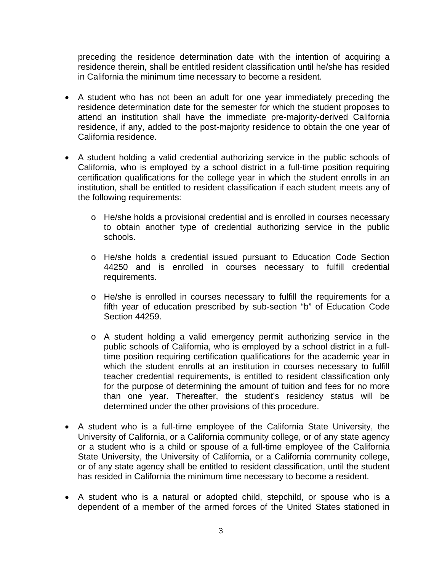preceding the residence determination date with the intention of acquiring a residence therein, shall be entitled resident classification until he/she has resided in California the minimum time necessary to become a resident.

- A student who has not been an adult for one year immediately preceding the residence determination date for the semester for which the student proposes to attend an institution shall have the immediate pre-majority-derived California residence, if any, added to the post-majority residence to obtain the one year of California residence.
- A student holding a valid credential authorizing service in the public schools of California, who is employed by a school district in a full-time position requiring certification qualifications for the college year in which the student enrolls in an institution, shall be entitled to resident classification if each student meets any of the following requirements:
	- o He/she holds a provisional credential and is enrolled in courses necessary to obtain another type of credential authorizing service in the public schools.
	- o He/she holds a credential issued pursuant to Education Code Section 44250 and is enrolled in courses necessary to fulfill credential requirements.
	- o He/she is enrolled in courses necessary to fulfill the requirements for a fifth year of education prescribed by sub-section "b" of Education Code Section 44259.
	- o A student holding a valid emergency permit authorizing service in the public schools of California, who is employed by a school district in a fulltime position requiring certification qualifications for the academic year in which the student enrolls at an institution in courses necessary to fulfill teacher credential requirements, is entitled to resident classification only for the purpose of determining the amount of tuition and fees for no more than one year. Thereafter, the student's residency status will be determined under the other provisions of this procedure.
- A student who is a full-time employee of the California State University, the University of California, or a California community college, or of any state agency or a student who is a child or spouse of a full-time employee of the California State University, the University of California, or a California community college, or of any state agency shall be entitled to resident classification, until the student has resided in California the minimum time necessary to become a resident.
- A student who is a natural or adopted child, stepchild, or spouse who is a dependent of a member of the armed forces of the United States stationed in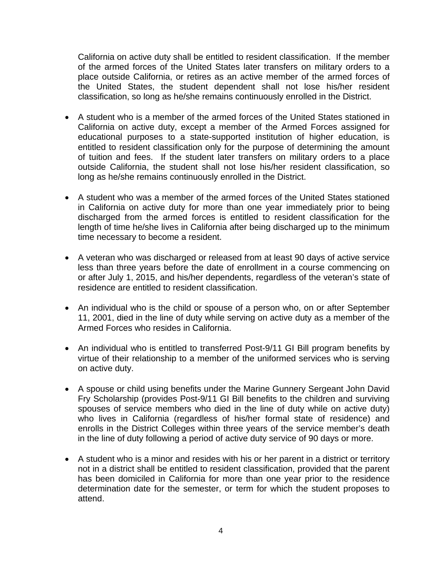California on active duty shall be entitled to resident classification. If the member of the armed forces of the United States later transfers on military orders to a place outside California, or retires as an active member of the armed forces of the United States, the student dependent shall not lose his/her resident classification, so long as he/she remains continuously enrolled in the District.

- A student who is a member of the armed forces of the United States stationed in California on active duty, except a member of the Armed Forces assigned for educational purposes to a state-supported institution of higher education, is entitled to resident classification only for the purpose of determining the amount of tuition and fees. If the student later transfers on military orders to a place outside California, the student shall not lose his/her resident classification, so long as he/she remains continuously enrolled in the District.
- A student who was a member of the armed forces of the United States stationed in California on active duty for more than one year immediately prior to being discharged from the armed forces is entitled to resident classification for the length of time he/she lives in California after being discharged up to the minimum time necessary to become a resident.
- A veteran who was discharged or released from at least 90 days of active service less than three years before the date of enrollment in a course commencing on or after July 1, 2015, and his/her dependents, regardless of the veteran's state of residence are entitled to resident classification.
- An individual who is the child or spouse of a person who, on or after September 11, 2001, died in the line of duty while serving on active duty as a member of the Armed Forces who resides in California.
- An individual who is entitled to transferred Post-9/11 GI Bill program benefits by virtue of their relationship to a member of the uniformed services who is serving on active duty.
- A spouse or child using benefits under the Marine Gunnery Sergeant John David Fry Scholarship (provides Post-9/11 GI Bill benefits to the children and surviving spouses of service members who died in the line of duty while on active duty) who lives in California (regardless of his/her formal state of residence) and enrolls in the District Colleges within three years of the service member's death in the line of duty following a period of active duty service of 90 days or more.
- A student who is a minor and resides with his or her parent in a district or territory not in a district shall be entitled to resident classification, provided that the parent has been domiciled in California for more than one year prior to the residence determination date for the semester, or term for which the student proposes to attend.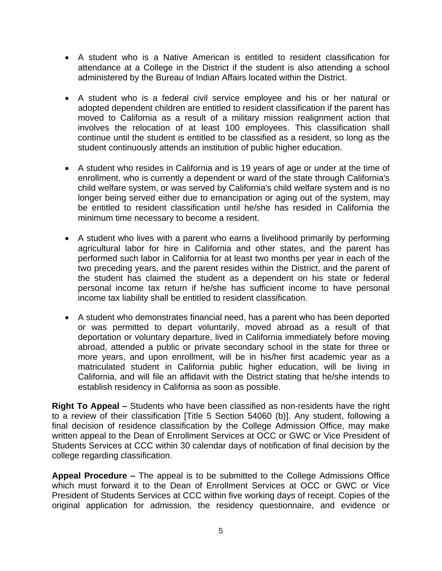- A student who is a Native American is entitled to resident classification for attendance at a College in the District if the student is also attending a school administered by the Bureau of Indian Affairs located within the District.
- A student who is a federal civil service employee and his or her natural or adopted dependent children are entitled to resident classification if the parent has moved to California as a result of a military mission realignment action that involves the relocation of at least 100 employees. This classification shall continue until the student is entitled to be classified as a resident, so long as the student continuously attends an institution of public higher education.
- A student who resides in California and is 19 years of age or under at the time of enrollment, who is currently a dependent or ward of the state through California's child welfare system, or was served by California's child welfare system and is no longer being served either due to emancipation or aging out of the system, may be entitled to resident classification until he/she has resided in California the minimum time necessary to become a resident.
- A student who lives with a parent who earns a livelihood primarily by performing agricultural labor for hire in California and other states, and the parent has performed such labor in California for at least two months per year in each of the two preceding years, and the parent resides within the District, and the parent of the student has claimed the student as a dependent on his state or federal personal income tax return if he/she has sufficient income to have personal income tax liability shall be entitled to resident classification.
- A student who demonstrates financial need, has a parent who has been deported or was permitted to depart voluntarily, moved abroad as a result of that deportation or voluntary departure, lived in California immediately before moving abroad, attended a public or private secondary school in the state for three or more years, and upon enrollment, will be in his/her first academic year as a matriculated student in California public higher education, will be living in California, and will file an affidavit with the District stating that he/she intends to establish residency in California as soon as possible.

**Right To Appeal –** Students who have been classified as non-residents have the right to a review of their classification [Title 5 Section 54060 (b)]. Any student, following a final decision of residence classification by the College Admission Office, may make written appeal to the Dean of Enrollment Services at OCC or GWC or Vice President of Students Services at CCC within 30 calendar days of notification of final decision by the college regarding classification.

**Appeal Procedure –** The appeal is to be submitted to the College Admissions Office which must forward it to the Dean of Enrollment Services at OCC or GWC or Vice President of Students Services at CCC within five working days of receipt. Copies of the original application for admission, the residency questionnaire, and evidence or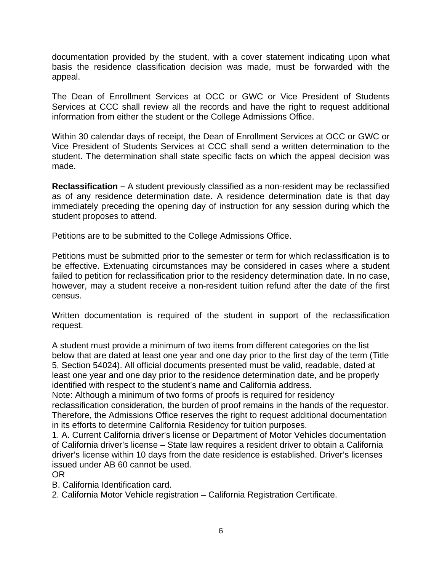documentation provided by the student, with a cover statement indicating upon what basis the residence classification decision was made, must be forwarded with the appeal.

The Dean of Enrollment Services at OCC or GWC or Vice President of Students Services at CCC shall review all the records and have the right to request additional information from either the student or the College Admissions Office.

Within 30 calendar days of receipt, the Dean of Enrollment Services at OCC or GWC or Vice President of Students Services at CCC shall send a written determination to the student. The determination shall state specific facts on which the appeal decision was made.

**Reclassification –** A student previously classified as a non-resident may be reclassified as of any residence determination date. A residence determination date is that day immediately preceding the opening day of instruction for any session during which the student proposes to attend.

Petitions are to be submitted to the College Admissions Office.

Petitions must be submitted prior to the semester or term for which reclassification is to be effective. Extenuating circumstances may be considered in cases where a student failed to petition for reclassification prior to the residency determination date. In no case, however, may a student receive a non-resident tuition refund after the date of the first census.

Written documentation is required of the student in support of the reclassification request.

A student must provide a minimum of two items from different categories on the list below that are dated at least one year and one day prior to the first day of the term (Title 5, Section 54024). All official documents presented must be valid, readable, dated at least one year and one day prior to the residence determination date, and be properly identified with respect to the student's name and California address.

Note: Although a minimum of two forms of proofs is required for residency reclassification consideration, the burden of proof remains in the hands of the requestor. Therefore, the Admissions Office reserves the right to request additional documentation in its efforts to determine California Residency for tuition purposes.

1. A. Current California driver's license or Department of Motor Vehicles documentation of California driver's license – State law requires a resident driver to obtain a California driver's license within 10 days from the date residence is established. Driver's licenses issued under AB 60 cannot be used.

#### OR

B. California Identification card.

2. California Motor Vehicle registration – California Registration Certificate.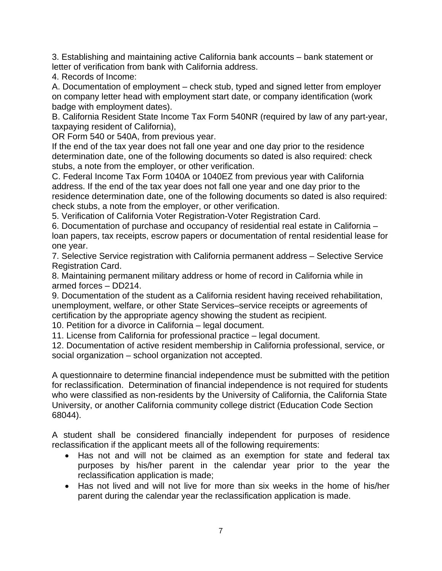3. Establishing and maintaining active California bank accounts – bank statement or letter of verification from bank with California address.

4. Records of Income:

A. Documentation of employment – check stub, typed and signed letter from employer on company letter head with employment start date, or company identification (work badge with employment dates).

B. California Resident State Income Tax Form 540NR (required by law of any part-year, taxpaying resident of California),

OR Form 540 or 540A, from previous year.

If the end of the tax year does not fall one year and one day prior to the residence determination date, one of the following documents so dated is also required: check stubs, a note from the employer, or other verification.

C. Federal Income Tax Form 1040A or 1040EZ from previous year with California address. If the end of the tax year does not fall one year and one day prior to the residence determination date, one of the following documents so dated is also required: check stubs, a note from the employer, or other verification.

5. Verification of California Voter Registration-Voter Registration Card.

6. Documentation of purchase and occupancy of residential real estate in California – loan papers, tax receipts, escrow papers or documentation of rental residential lease for one year.

7. Selective Service registration with California permanent address – Selective Service Registration Card.

8. Maintaining permanent military address or home of record in California while in armed forces – DD214.

9. Documentation of the student as a California resident having received rehabilitation, unemployment, welfare, or other State Services–service receipts or agreements of certification by the appropriate agency showing the student as recipient.

10. Petition for a divorce in California – legal document.

11. License from California for professional practice – legal document.

12. Documentation of active resident membership in California professional, service, or social organization – school organization not accepted.

A questionnaire to determine financial independence must be submitted with the petition for reclassification. Determination of financial independence is not required for students who were classified as non-residents by the University of California, the California State University, or another California community college district (Education Code Section 68044).

A student shall be considered financially independent for purposes of residence reclassification if the applicant meets all of the following requirements:

- Has not and will not be claimed as an exemption for state and federal tax purposes by his/her parent in the calendar year prior to the year the reclassification application is made;
- Has not lived and will not live for more than six weeks in the home of his/her parent during the calendar year the reclassification application is made.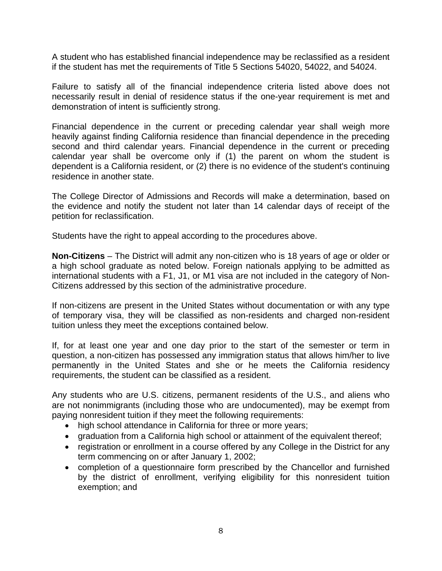A student who has established financial independence may be reclassified as a resident if the student has met the requirements of Title 5 Sections 54020, 54022, and 54024.

Failure to satisfy all of the financial independence criteria listed above does not necessarily result in denial of residence status if the one-year requirement is met and demonstration of intent is sufficiently strong.

Financial dependence in the current or preceding calendar year shall weigh more heavily against finding California residence than financial dependence in the preceding second and third calendar years. Financial dependence in the current or preceding calendar year shall be overcome only if (1) the parent on whom the student is dependent is a California resident, or (2) there is no evidence of the student's continuing residence in another state.

The College Director of Admissions and Records will make a determination, based on the evidence and notify the student not later than 14 calendar days of receipt of the petition for reclassification.

Students have the right to appeal according to the procedures above.

**Non-Citizens** – The District will admit any non-citizen who is 18 years of age or older or a high school graduate as noted below. Foreign nationals applying to be admitted as international students with a F1, J1, or M1 visa are not included in the category of Non-Citizens addressed by this section of the administrative procedure.

If non-citizens are present in the United States without documentation or with any type of temporary visa, they will be classified as non-residents and charged non-resident tuition unless they meet the exceptions contained below.

If, for at least one year and one day prior to the start of the semester or term in question, a non-citizen has possessed any immigration status that allows him/her to live permanently in the United States and she or he meets the California residency requirements, the student can be classified as a resident.

Any students who are U.S. citizens, permanent residents of the U.S., and aliens who are not nonimmigrants (including those who are undocumented), may be exempt from paying nonresident tuition if they meet the following requirements:

- high school attendance in California for three or more years;
- graduation from a California high school or attainment of the equivalent thereof;
- registration or enrollment in a course offered by any College in the District for any term commencing on or after January 1, 2002;
- completion of a questionnaire form prescribed by the Chancellor and furnished by the district of enrollment, verifying eligibility for this nonresident tuition exemption; and